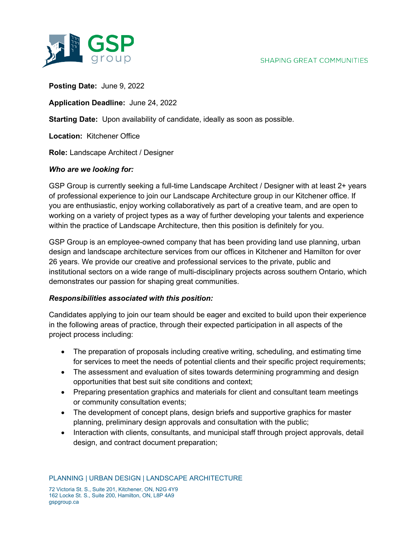

**Posting Date:** June 9, 2022

**Application Deadline:** June 24, 2022

**Starting Date:** Upon availability of candidate, ideally as soon as possible.

**Location:** Kitchener Office

**Role:** Landscape Architect / Designer

## *Who are we looking for:*

GSP Group is currently seeking a full-time Landscape Architect / Designer with at least 2+ years of professional experience to join our Landscape Architecture group in our Kitchener office. If you are enthusiastic, enjoy working collaboratively as part of a creative team, and are open to working on a variety of project types as a way of further developing your talents and experience within the practice of Landscape Architecture, then this position is definitely for you.

GSP Group is an employee-owned company that has been providing land use planning, urban design and landscape architecture services from our offices in Kitchener and Hamilton for over 26 years. We provide our creative and professional services to the private, public and institutional sectors on a wide range of multi-disciplinary projects across southern Ontario, which demonstrates our passion for shaping great communities.

## *Responsibilities associated with this position:*

Candidates applying to join our team should be eager and excited to build upon their experience in the following areas of practice, through their expected participation in all aspects of the project process including:

- The preparation of proposals including creative writing, scheduling, and estimating time for services to meet the needs of potential clients and their specific project requirements;
- The assessment and evaluation of sites towards determining programming and design opportunities that best suit site conditions and context;
- Preparing presentation graphics and materials for client and consultant team meetings or community consultation events;
- The development of concept plans, design briefs and supportive graphics for master planning, preliminary design approvals and consultation with the public;
- Interaction with clients, consultants, and municipal staff through project approvals, detail design, and contract document preparation;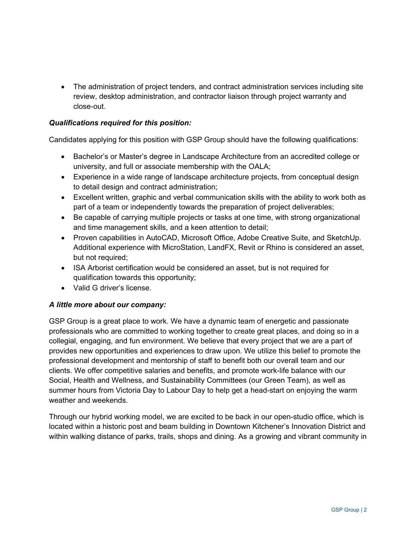• The administration of project tenders, and contract administration services including site review, desktop administration, and contractor liaison through project warranty and close-out.

## *Qualifications required for this position:*

Candidates applying for this position with GSP Group should have the following qualifications:

- Bachelor's or Master's degree in Landscape Architecture from an accredited college or university, and full or associate membership with the OALA;
- Experience in a wide range of landscape architecture projects, from conceptual design to detail design and contract administration;
- Excellent written, graphic and verbal communication skills with the ability to work both as part of a team or independently towards the preparation of project deliverables;
- Be capable of carrying multiple projects or tasks at one time, with strong organizational and time management skills, and a keen attention to detail;
- Proven capabilities in AutoCAD, Microsoft Office, Adobe Creative Suite, and SketchUp. Additional experience with MicroStation, LandFX, Revit or Rhino is considered an asset, but not required;
- ISA Arborist certification would be considered an asset, but is not required for qualification towards this opportunity;
- Valid G driver's license.

## *A little more about our company:*

GSP Group is a great place to work. We have a dynamic team of energetic and passionate professionals who are committed to working together to create great places, and doing so in a collegial, engaging, and fun environment. We believe that every project that we are a part of provides new opportunities and experiences to draw upon. We utilize this belief to promote the professional development and mentorship of staff to benefit both our overall team and our clients. We offer competitive salaries and benefits, and promote work-life balance with our Social, Health and Wellness, and Sustainability Committees (our Green Team), as well as summer hours from Victoria Day to Labour Day to help get a head-start on enjoying the warm weather and weekends.

Through our hybrid working model, we are excited to be back in our open-studio office, which is located within a historic post and beam building in Downtown Kitchener's Innovation District and within walking distance of parks, trails, shops and dining. As a growing and vibrant community in